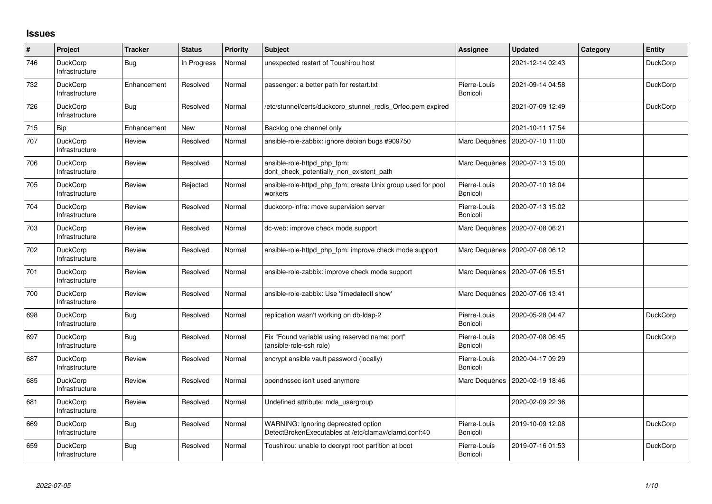## **Issues**

| #   | Project                           | <b>Tracker</b> | <b>Status</b> | <b>Priority</b> | <b>Subject</b>                                                                              | <b>Assignee</b>          | <b>Updated</b>   | Category | Entity          |
|-----|-----------------------------------|----------------|---------------|-----------------|---------------------------------------------------------------------------------------------|--------------------------|------------------|----------|-----------------|
| 746 | <b>DuckCorp</b><br>Infrastructure | Bug            | In Progress   | Normal          | unexpected restart of Toushirou host                                                        |                          | 2021-12-14 02:43 |          | DuckCorp        |
| 732 | <b>DuckCorp</b><br>Infrastructure | Enhancement    | Resolved      | Normal          | passenger: a better path for restart.txt                                                    | Pierre-Louis<br>Bonicoli | 2021-09-14 04:58 |          | DuckCorp        |
| 726 | <b>DuckCorp</b><br>Infrastructure | <b>Bug</b>     | Resolved      | Normal          | etc/stunnel/certs/duckcorp stunnel redis Orfeo.pem expired                                  |                          | 2021-07-09 12:49 |          | DuckCorp        |
| 715 | Bip                               | Enhancement    | <b>New</b>    | Normal          | Backlog one channel only                                                                    |                          | 2021-10-11 17:54 |          |                 |
| 707 | <b>DuckCorp</b><br>Infrastructure | Review         | Resolved      | Normal          | ansible-role-zabbix: ignore debian bugs #909750                                             | Marc Dequènes            | 2020-07-10 11:00 |          |                 |
| 706 | <b>DuckCorp</b><br>Infrastructure | Review         | Resolved      | Normal          | ansible-role-httpd_php_fpm:<br>dont_check_potentially_non_existent_path                     | Marc Dequènes            | 2020-07-13 15:00 |          |                 |
| 705 | <b>DuckCorp</b><br>Infrastructure | Review         | Rejected      | Normal          | ansible-role-httpd_php_fpm: create Unix group used for pool<br>workers                      | Pierre-Louis<br>Bonicoli | 2020-07-10 18:04 |          |                 |
| 704 | <b>DuckCorp</b><br>Infrastructure | Review         | Resolved      | Normal          | duckcorp-infra: move supervision server                                                     | Pierre-Louis<br>Bonicoli | 2020-07-13 15:02 |          |                 |
| 703 | <b>DuckCorp</b><br>Infrastructure | Review         | Resolved      | Normal          | dc-web: improve check mode support                                                          | Marc Dequènes            | 2020-07-08 06:21 |          |                 |
| 702 | <b>DuckCorp</b><br>Infrastructure | Review         | Resolved      | Normal          | ansible-role-httpd php fpm: improve check mode support                                      | Marc Dequènes            | 2020-07-08 06:12 |          |                 |
| 701 | <b>DuckCorp</b><br>Infrastructure | Review         | Resolved      | Normal          | ansible-role-zabbix: improve check mode support                                             | Marc Dequènes            | 2020-07-06 15:51 |          |                 |
| 700 | <b>DuckCorp</b><br>Infrastructure | Review         | Resolved      | Normal          | ansible-role-zabbix: Use 'timedatectl show'                                                 | Marc Dequènes            | 2020-07-06 13:41 |          |                 |
| 698 | <b>DuckCorp</b><br>Infrastructure | Bug            | Resolved      | Normal          | replication wasn't working on db-Idap-2                                                     | Pierre-Louis<br>Bonicoli | 2020-05-28 04:47 |          | <b>DuckCorp</b> |
| 697 | <b>DuckCorp</b><br>Infrastructure | Bug            | Resolved      | Normal          | Fix "Found variable using reserved name: port"<br>(ansible-role-ssh role)                   | Pierre-Louis<br>Bonicoli | 2020-07-08 06:45 |          | <b>DuckCorp</b> |
| 687 | <b>DuckCorp</b><br>Infrastructure | Review         | Resolved      | Normal          | encrypt ansible vault password (locally)                                                    | Pierre-Louis<br>Bonicoli | 2020-04-17 09:29 |          |                 |
| 685 | <b>DuckCorp</b><br>Infrastructure | Review         | Resolved      | Normal          | opendnssec isn't used anymore                                                               | Marc Dequènes            | 2020-02-19 18:46 |          |                 |
| 681 | <b>DuckCorp</b><br>Infrastructure | Review         | Resolved      | Normal          | Undefined attribute: mda usergroup                                                          |                          | 2020-02-09 22:36 |          |                 |
| 669 | <b>DuckCorp</b><br>Infrastructure | Bug            | Resolved      | Normal          | WARNING: Ignoring deprecated option<br>DetectBrokenExecutables at /etc/clamav/clamd.conf:40 | Pierre-Louis<br>Bonicoli | 2019-10-09 12:08 |          | DuckCorp        |
| 659 | <b>DuckCorp</b><br>Infrastructure | Bug            | Resolved      | Normal          | Toushirou: unable to decrypt root partition at boot                                         | Pierre-Louis<br>Bonicoli | 2019-07-16 01:53 |          | <b>DuckCorp</b> |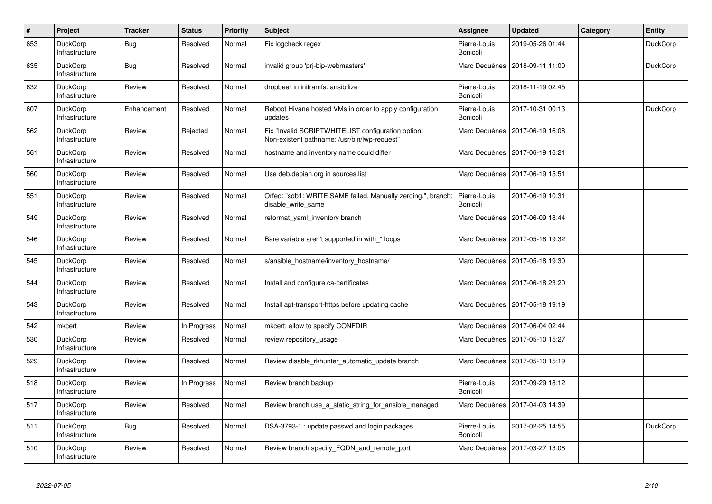| $\#$ | Project                           | <b>Tracker</b> | <b>Status</b> | <b>Priority</b> | <b>Subject</b>                                                                                     | <b>Assignee</b>          | <b>Updated</b>   | Category | <b>Entity</b>   |
|------|-----------------------------------|----------------|---------------|-----------------|----------------------------------------------------------------------------------------------------|--------------------------|------------------|----------|-----------------|
| 653  | <b>DuckCorp</b><br>Infrastructure | <b>Bug</b>     | Resolved      | Normal          | Fix logcheck regex                                                                                 | Pierre-Louis<br>Bonicoli | 2019-05-26 01:44 |          | <b>DuckCorp</b> |
| 635  | DuckCorp<br>Infrastructure        | Bug            | Resolved      | Normal          | invalid group 'prj-bip-webmasters'                                                                 | Marc Dequènes            | 2018-09-11 11:00 |          | DuckCorp        |
| 632  | <b>DuckCorp</b><br>Infrastructure | Review         | Resolved      | Normal          | dropbear in initramfs: ansibilize                                                                  | Pierre-Louis<br>Bonicoli | 2018-11-19 02:45 |          |                 |
| 607  | <b>DuckCorp</b><br>Infrastructure | Enhancement    | Resolved      | Normal          | Reboot Hivane hosted VMs in order to apply configuration<br>updates                                | Pierre-Louis<br>Bonicoli | 2017-10-31 00:13 |          | <b>DuckCorp</b> |
| 562  | <b>DuckCorp</b><br>Infrastructure | Review         | Rejected      | Normal          | Fix "Invalid SCRIPTWHITELIST configuration option:<br>Non-existent pathname: /usr/bin/lwp-request" | Marc Dequènes            | 2017-06-19 16:08 |          |                 |
| 561  | DuckCorp<br>Infrastructure        | Review         | Resolved      | Normal          | hostname and inventory name could differ                                                           | Marc Dequènes            | 2017-06-19 16:21 |          |                 |
| 560  | <b>DuckCorp</b><br>Infrastructure | Review         | Resolved      | Normal          | Use deb.debian.org in sources.list                                                                 | Marc Dequènes            | 2017-06-19 15:51 |          |                 |
| 551  | <b>DuckCorp</b><br>Infrastructure | Review         | Resolved      | Normal          | Orfeo: "sdb1: WRITE SAME failed. Manually zeroing.", branch:<br>disable write same                 | Pierre-Louis<br>Bonicoli | 2017-06-19 10:31 |          |                 |
| 549  | <b>DuckCorp</b><br>Infrastructure | Review         | Resolved      | Normal          | reformat yaml inventory branch                                                                     | Marc Dequènes            | 2017-06-09 18:44 |          |                 |
| 546  | DuckCorp<br>Infrastructure        | Review         | Resolved      | Normal          | Bare variable aren't supported in with * loops                                                     | Marc Dequènes            | 2017-05-18 19:32 |          |                 |
| 545  | DuckCorp<br>Infrastructure        | Review         | Resolved      | Normal          | s/ansible_hostname/inventory_hostname/                                                             | Marc Dequènes            | 2017-05-18 19:30 |          |                 |
| 544  | DuckCorp<br>Infrastructure        | Review         | Resolved      | Normal          | Install and configure ca-certificates                                                              | Marc Dequènes            | 2017-06-18 23:20 |          |                 |
| 543  | <b>DuckCorp</b><br>Infrastructure | Review         | Resolved      | Normal          | Install apt-transport-https before updating cache                                                  | Marc Dequènes            | 2017-05-18 19:19 |          |                 |
| 542  | mkcert                            | Review         | In Progress   | Normal          | mkcert: allow to specify CONFDIR                                                                   | Marc Dequènes            | 2017-06-04 02:44 |          |                 |
| 530  | <b>DuckCorp</b><br>Infrastructure | Review         | Resolved      | Normal          | review repository usage                                                                            | Marc Dequènes            | 2017-05-10 15:27 |          |                 |
| 529  | <b>DuckCorp</b><br>Infrastructure | Review         | Resolved      | Normal          | Review disable rkhunter automatic update branch                                                    | Marc Dequènes            | 2017-05-10 15:19 |          |                 |
| 518  | <b>DuckCorp</b><br>Infrastructure | Review         | In Progress   | Normal          | Review branch backup                                                                               | Pierre-Louis<br>Bonicoli | 2017-09-29 18:12 |          |                 |
| 517  | <b>DuckCorp</b><br>Infrastructure | Review         | Resolved      | Normal          | Review branch use a static string for ansible managed                                              | Marc Dequènes            | 2017-04-03 14:39 |          |                 |
| 511  | <b>DuckCorp</b><br>Infrastructure | Bug            | Resolved      | Normal          | DSA-3793-1: update passwd and login packages                                                       | Pierre-Louis<br>Bonicoli | 2017-02-25 14:55 |          | <b>DuckCorp</b> |
| 510  | <b>DuckCorp</b><br>Infrastructure | Review         | Resolved      | Normal          | Review branch specify FQDN and remote port                                                         | Marc Dequènes            | 2017-03-27 13:08 |          |                 |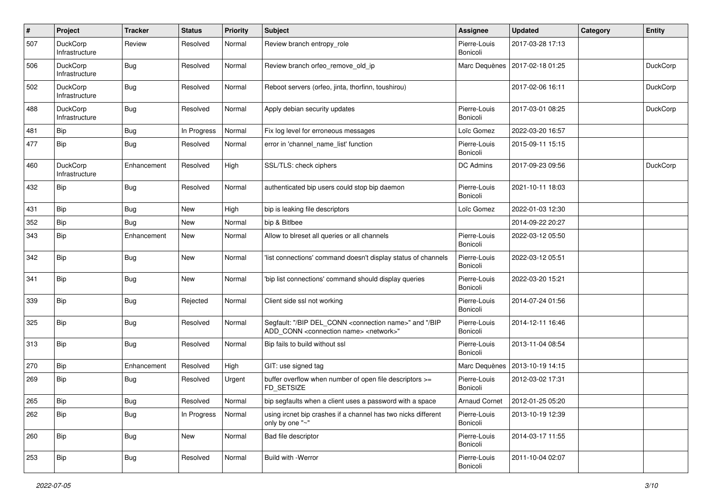| #   | Project                    | <b>Tracker</b> | <b>Status</b> | <b>Priority</b> | <b>Subject</b>                                                                                                                            | <b>Assignee</b>          | <b>Updated</b>   | Category | <b>Entity</b>   |
|-----|----------------------------|----------------|---------------|-----------------|-------------------------------------------------------------------------------------------------------------------------------------------|--------------------------|------------------|----------|-----------------|
| 507 | DuckCorp<br>Infrastructure | Review         | Resolved      | Normal          | Review branch entropy role                                                                                                                | Pierre-Louis<br>Bonicoli | 2017-03-28 17:13 |          |                 |
| 506 | DuckCorp<br>Infrastructure | Bug            | Resolved      | Normal          | Review branch orfeo_remove_old_ip                                                                                                         | Marc Dequènes            | 2017-02-18 01:25 |          | <b>DuckCorp</b> |
| 502 | DuckCorp<br>Infrastructure | Bug            | Resolved      | Normal          | Reboot servers (orfeo, jinta, thorfinn, toushirou)                                                                                        |                          | 2017-02-06 16:11 |          | <b>DuckCorp</b> |
| 488 | DuckCorp<br>Infrastructure | <b>Bug</b>     | Resolved      | Normal          | Apply debian security updates                                                                                                             | Pierre-Louis<br>Bonicoli | 2017-03-01 08:25 |          | <b>DuckCorp</b> |
| 481 | Bip                        | <b>Bug</b>     | In Progress   | Normal          | Fix log level for erroneous messages                                                                                                      | Loïc Gomez               | 2022-03-20 16:57 |          |                 |
| 477 | <b>Bip</b>                 | Bug            | Resolved      | Normal          | error in 'channel name list' function                                                                                                     | Pierre-Louis<br>Bonicoli | 2015-09-11 15:15 |          |                 |
| 460 | DuckCorp<br>Infrastructure | Enhancement    | Resolved      | High            | SSL/TLS: check ciphers                                                                                                                    | DC Admins                | 2017-09-23 09:56 |          | DuckCorp        |
| 432 | Bip                        | Bug            | Resolved      | Normal          | authenticated bip users could stop bip daemon                                                                                             | Pierre-Louis<br>Bonicoli | 2021-10-11 18:03 |          |                 |
| 431 | <b>Bip</b>                 | Bug            | New           | High            | bip is leaking file descriptors                                                                                                           | Loïc Gomez               | 2022-01-03 12:30 |          |                 |
| 352 | <b>Bip</b>                 | Bug            | New           | Normal          | bip & Bitlbee                                                                                                                             |                          | 2014-09-22 20:27 |          |                 |
| 343 | <b>Bip</b>                 | Enhancement    | New           | Normal          | Allow to blreset all queries or all channels                                                                                              | Pierre-Louis<br>Bonicoli | 2022-03-12 05:50 |          |                 |
| 342 | Bip                        | Bug            | New           | Normal          | 'list connections' command doesn't display status of channels                                                                             | Pierre-Louis<br>Bonicoli | 2022-03-12 05:51 |          |                 |
| 341 | Bip                        | Bug            | New           | Normal          | 'bip list connections' command should display queries                                                                                     | Pierre-Louis<br>Bonicoli | 2022-03-20 15:21 |          |                 |
| 339 | Bip                        | Bug            | Rejected      | Normal          | Client side ssl not working                                                                                                               | Pierre-Louis<br>Bonicoli | 2014-07-24 01:56 |          |                 |
| 325 | <b>Bip</b>                 | <b>Bug</b>     | Resolved      | Normal          | Segfault: "/BIP DEL_CONN <connection name="">" and "/BIP<br/>ADD_CONN <connection name=""> <network>"</network></connection></connection> | Pierre-Louis<br>Bonicoli | 2014-12-11 16:46 |          |                 |
| 313 | Bip                        | Bug            | Resolved      | Normal          | Bip fails to build without ssl                                                                                                            | Pierre-Louis<br>Bonicoli | 2013-11-04 08:54 |          |                 |
| 270 | Bip                        | Enhancement    | Resolved      | High            | GIT: use signed tag                                                                                                                       | Marc Dequènes            | 2013-10-19 14:15 |          |                 |
| 269 | <b>Bip</b>                 | <b>Bug</b>     | Resolved      | Urgent          | buffer overflow when number of open file descriptors >=<br>FD SETSIZE                                                                     | Pierre-Louis<br>Bonicoli | 2012-03-02 17:31 |          |                 |
| 265 | Bip                        | Bug            | Resolved      | Normal          | bip segfaults when a client uses a password with a space                                                                                  | <b>Arnaud Cornet</b>     | 2012-01-25 05:20 |          |                 |
| 262 | Bip                        | <b>Bug</b>     | In Progress   | Normal          | using ircnet bip crashes if a channel has two nicks different<br>only by one "~"                                                          | Pierre-Louis<br>Bonicoli | 2013-10-19 12:39 |          |                 |
| 260 | Bip                        | Bug            | New           | Normal          | Bad file descriptor                                                                                                                       | Pierre-Louis<br>Bonicoli | 2014-03-17 11:55 |          |                 |
| 253 | Bip                        | Bug            | Resolved      | Normal          | Build with -Werror                                                                                                                        | Pierre-Louis<br>Bonicoli | 2011-10-04 02:07 |          |                 |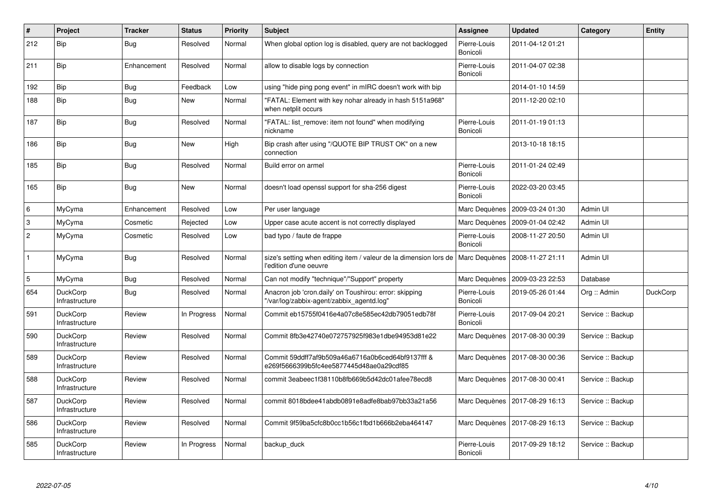| $\pmb{\sharp}$            | Project                           | <b>Tracker</b> | <b>Status</b> | <b>Priority</b> | <b>Subject</b>                                                                                      | Assignee                 | <b>Updated</b>                   | Category          | <b>Entity</b>   |
|---------------------------|-----------------------------------|----------------|---------------|-----------------|-----------------------------------------------------------------------------------------------------|--------------------------|----------------------------------|-------------------|-----------------|
| 212                       | <b>Bip</b>                        | Bug            | Resolved      | Normal          | When global option log is disabled, query are not backlogged                                        | Pierre-Louis<br>Bonicoli | 2011-04-12 01:21                 |                   |                 |
| 211                       | Bip                               | Enhancement    | Resolved      | Normal          | allow to disable logs by connection                                                                 | Pierre-Louis<br>Bonicoli | 2011-04-07 02:38                 |                   |                 |
| 192                       | <b>Bip</b>                        | Bug            | Feedback      | Low             | using "hide ping pong event" in mIRC doesn't work with bip                                          |                          | 2014-01-10 14:59                 |                   |                 |
| 188                       | Bip                               | Bug            | <b>New</b>    | Normal          | "FATAL: Element with key nohar already in hash 5151a968"<br>when netplit occurs                     |                          | 2011-12-20 02:10                 |                   |                 |
| 187                       | <b>Bip</b>                        | <b>Bug</b>     | Resolved      | Normal          | "FATAL: list remove: item not found" when modifying<br>nickname                                     | Pierre-Louis<br>Bonicoli | 2011-01-19 01:13                 |                   |                 |
| 186                       | <b>Bip</b>                        | <b>Bug</b>     | <b>New</b>    | High            | Bip crash after using "/QUOTE BIP TRUST OK" on a new<br>connection                                  |                          | 2013-10-18 18:15                 |                   |                 |
| 185                       | Bip                               | <b>Bug</b>     | Resolved      | Normal          | Build error on armel                                                                                | Pierre-Louis<br>Bonicoli | 2011-01-24 02:49                 |                   |                 |
| 165                       | <b>Bip</b>                        | <b>Bug</b>     | <b>New</b>    | Normal          | doesn't load openssl support for sha-256 digest                                                     | Pierre-Louis<br>Bonicoli | 2022-03-20 03:45                 |                   |                 |
| 6                         | MyCyma                            | Enhancement    | Resolved      | Low             | Per user language                                                                                   | Marc Dequènes            | 2009-03-24 01:30                 | Admin UI          |                 |
| $\ensuremath{\mathsf{3}}$ | MyCyma                            | Cosmetic       | Rejected      | Low             | Upper case acute accent is not correctly displayed                                                  | Marc Dequènes            | 2009-01-04 02:42                 | Admin UI          |                 |
| $\overline{c}$            | MyCyma                            | Cosmetic       | Resolved      | Low             | bad typo / faute de frappe                                                                          | Pierre-Louis<br>Bonicoli | 2008-11-27 20:50                 | Admin UI          |                 |
| $\mathbf{1}$              | MyCyma                            | Bug            | Resolved      | Normal          | size's setting when editing item / valeur de la dimension lors de<br>l'edition d'une oeuvre         | Marc Dequènes            | 2008-11-27 21:11                 | Admin UI          |                 |
| $\mathbf 5$               | MyCyma                            | <b>Bug</b>     | Resolved      | Normal          | Can not modify "technique"/"Support" property                                                       | Marc Dequènes            | 2009-03-23 22:53                 | Database          |                 |
| 654                       | <b>DuckCorp</b><br>Infrastructure | Bug            | Resolved      | Normal          | Anacron job 'cron.daily' on Toushirou: error: skipping<br>"/var/log/zabbix-agent/zabbix agentd.log" | Pierre-Louis<br>Bonicoli | 2019-05-26 01:44                 | Org :: Admin      | <b>DuckCorp</b> |
| 591                       | <b>DuckCorp</b><br>Infrastructure | Review         | In Progress   | Normal          | Commit eb15755f0416e4a07c8e585ec42db79051edb78f                                                     | Pierre-Louis<br>Bonicoli | 2017-09-04 20:21                 | Service :: Backup |                 |
| 590                       | <b>DuckCorp</b><br>Infrastructure | Review         | Resolved      | Normal          | Commit 8fb3e42740e072757925f983e1dbe94953d81e22                                                     | Marc Dequènes            | 2017-08-30 00:39                 | Service :: Backup |                 |
| 589                       | <b>DuckCorp</b><br>Infrastructure | Review         | Resolved      | Normal          | Commit 59ddff7af9b509a46a6716a0b6ced64bf9137fff &<br>e269f5666399b5fc4ee5877445d48ae0a29cdf85       |                          | Marc Dequènes   2017-08-30 00:36 | Service :: Backup |                 |
| 588                       | <b>DuckCorp</b><br>Infrastructure | Review         | Resolved      | Normal          | commit 3eabeec1f38110b8fb669b5d42dc01afee78ecd8                                                     |                          | Marc Dequènes   2017-08-30 00:41 | Service :: Backup |                 |
| 587                       | <b>DuckCorp</b><br>Infrastructure | Review         | Resolved      | Normal          | commit 8018bdee41abdb0891e8adfe8bab97bb33a21a56                                                     |                          | Marc Dequènes   2017-08-29 16:13 | Service :: Backup |                 |
| 586                       | DuckCorp<br>Infrastructure        | Review         | Resolved      | Normal          | Commit 9f59ba5cfc8b0cc1b56c1fbd1b666b2eba464147                                                     | Marc Dequènes            | 2017-08-29 16:13                 | Service :: Backup |                 |
| 585                       | <b>DuckCorp</b><br>Infrastructure | Review         | In Progress   | Normal          | backup duck                                                                                         | Pierre-Louis<br>Bonicoli | 2017-09-29 18:12                 | Service :: Backup |                 |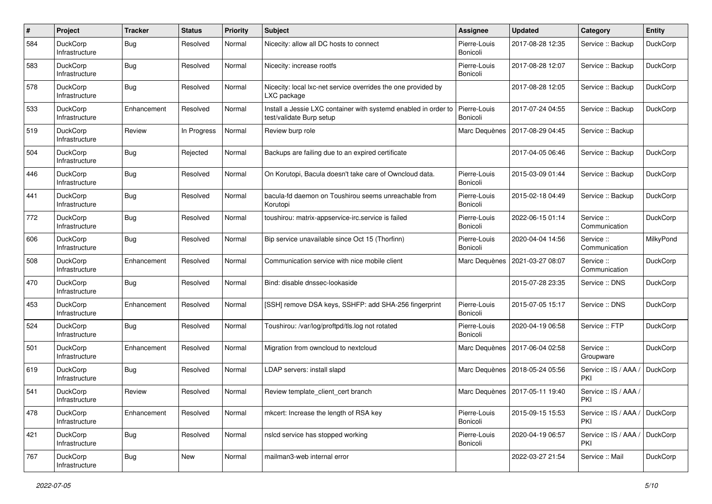| $\#$ | Project                           | <b>Tracker</b> | <b>Status</b> | <b>Priority</b> | <b>Subject</b>                                                                              | <b>Assignee</b>          | <b>Updated</b>   | Category                     | <b>Entity</b>   |
|------|-----------------------------------|----------------|---------------|-----------------|---------------------------------------------------------------------------------------------|--------------------------|------------------|------------------------------|-----------------|
| 584  | DuckCorp<br>Infrastructure        | <b>Bug</b>     | Resolved      | Normal          | Nicecity: allow all DC hosts to connect                                                     | Pierre-Louis<br>Bonicoli | 2017-08-28 12:35 | Service :: Backup            | <b>DuckCorp</b> |
| 583  | <b>DuckCorp</b><br>Infrastructure | Bug            | Resolved      | Normal          | Nicecity: increase rootfs                                                                   | Pierre-Louis<br>Bonicoli | 2017-08-28 12:07 | Service :: Backup            | DuckCorp        |
| 578  | <b>DuckCorp</b><br>Infrastructure | Bug            | Resolved      | Normal          | Nicecity: local lxc-net service overrides the one provided by<br>LXC package                |                          | 2017-08-28 12:05 | Service :: Backup            | DuckCorp        |
| 533  | DuckCorp<br>Infrastructure        | Enhancement    | Resolved      | Normal          | Install a Jessie LXC container with systemd enabled in order to<br>test/validate Burp setup | Pierre-Louis<br>Bonicoli | 2017-07-24 04:55 | Service :: Backup            | DuckCorp        |
| 519  | DuckCorp<br>Infrastructure        | Review         | In Progress   | Normal          | Review burp role                                                                            | Marc Dequènes            | 2017-08-29 04:45 | Service :: Backup            |                 |
| 504  | DuckCorp<br>Infrastructure        | Bug            | Rejected      | Normal          | Backups are failing due to an expired certificate                                           |                          | 2017-04-05 06:46 | Service :: Backup            | <b>DuckCorp</b> |
| 446  | <b>DuckCorp</b><br>Infrastructure | <b>Bug</b>     | Resolved      | Normal          | On Korutopi, Bacula doesn't take care of Owncloud data.                                     | Pierre-Louis<br>Bonicoli | 2015-03-09 01:44 | Service :: Backup            | <b>DuckCorp</b> |
| 441  | DuckCorp<br>Infrastructure        | Bug            | Resolved      | Normal          | bacula-fd daemon on Toushirou seems unreachable from<br>Korutopi                            | Pierre-Louis<br>Bonicoli | 2015-02-18 04:49 | Service :: Backup            | <b>DuckCorp</b> |
| 772  | <b>DuckCorp</b><br>Infrastructure | Bug            | Resolved      | Normal          | toushirou: matrix-appservice-irc.service is failed                                          | Pierre-Louis<br>Bonicoli | 2022-06-15 01:14 | Service ::<br>Communication  | DuckCorp        |
| 606  | DuckCorp<br>Infrastructure        | Bug            | Resolved      | Normal          | Bip service unavailable since Oct 15 (Thorfinn)                                             | Pierre-Louis<br>Bonicoli | 2020-04-04 14:56 | Service:<br>Communication    | MilkyPond       |
| 508  | <b>DuckCorp</b><br>Infrastructure | Enhancement    | Resolved      | Normal          | Communication service with nice mobile client                                               | Marc Dequènes            | 2021-03-27 08:07 | Service:<br>Communication    | <b>DuckCorp</b> |
| 470  | DuckCorp<br>Infrastructure        | Bug            | Resolved      | Normal          | Bind: disable dnssec-lookaside                                                              |                          | 2015-07-28 23:35 | Service: DNS                 | DuckCorp        |
| 453  | DuckCorp<br>Infrastructure        | Enhancement    | Resolved      | Normal          | [SSH] remove DSA keys, SSHFP: add SHA-256 fingerprint                                       | Pierre-Louis<br>Bonicoli | 2015-07-05 15:17 | Service: DNS                 | <b>DuckCorp</b> |
| 524  | <b>DuckCorp</b><br>Infrastructure | Bug            | Resolved      | Normal          | Toushirou: /var/log/proftpd/tls.log not rotated                                             | Pierre-Louis<br>Bonicoli | 2020-04-19 06:58 | Service :: FTP               | <b>DuckCorp</b> |
| 501  | DuckCorp<br>Infrastructure        | Enhancement    | Resolved      | Normal          | Migration from owncloud to nextcloud                                                        | Marc Dequènes            | 2017-06-04 02:58 | Service:<br>Groupware        | DuckCorp        |
| 619  | <b>DuckCorp</b><br>Infrastructure | Bug            | Resolved      | Normal          | LDAP servers: install slapd                                                                 | Marc Dequènes            | 2018-05-24 05:56 | Service :: IS / AAA /<br>PKI | DuckCorp        |
| 541  | DuckCorp<br>Infrastructure        | Review         | Resolved      | Normal          | Review template client cert branch                                                          | Marc Dequènes            | 2017-05-11 19:40 | Service :: IS / AAA /<br>PKI |                 |
| 478  | DuckCorp<br>Infrastructure        | Enhancement    | Resolved      | Normal          | mkcert: Increase the length of RSA key                                                      | Pierre-Louis<br>Bonicoli | 2015-09-15 15:53 | Service: IS / AAA /<br>PKI   | DuckCorp        |
| 421  | DuckCorp<br>Infrastructure        | Bug            | Resolved      | Normal          | nslcd service has stopped working                                                           | Pierre-Louis<br>Bonicoli | 2020-04-19 06:57 | Service :: IS / AAA /<br>PKI | DuckCorp        |
| 767  | DuckCorp<br>Infrastructure        | <b>Bug</b>     | New           | Normal          | mailman3-web internal error                                                                 |                          | 2022-03-27 21:54 | Service :: Mail              | DuckCorp        |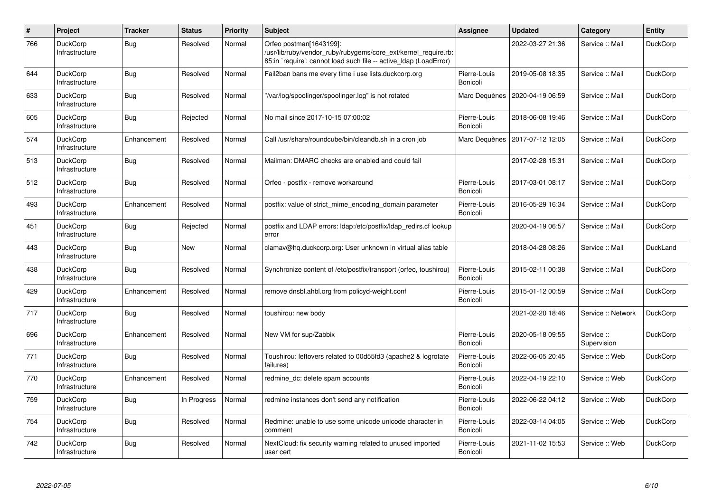| $\sharp$ | Project                           | <b>Tracker</b> | <b>Status</b> | <b>Priority</b> | <b>Subject</b>                                                                                                                                                 | Assignee                 | <b>Updated</b>   | Category                  | Entity          |
|----------|-----------------------------------|----------------|---------------|-----------------|----------------------------------------------------------------------------------------------------------------------------------------------------------------|--------------------------|------------------|---------------------------|-----------------|
| 766      | <b>DuckCorp</b><br>Infrastructure | Bug            | Resolved      | Normal          | Orfeo postman[1643199]:<br>/usr/lib/ruby/vendor ruby/rubygems/core ext/kernel require.rb:<br>85:in 'require': cannot load such file -- active Idap (LoadError) |                          | 2022-03-27 21:36 | Service :: Mail           | <b>DuckCorp</b> |
| 644      | DuckCorp<br>Infrastructure        | Bug            | Resolved      | Normal          | Fail2ban bans me every time i use lists.duckcorp.org                                                                                                           | Pierre-Louis<br>Bonicoli | 2019-05-08 18:35 | Service :: Mail           | <b>DuckCorp</b> |
| 633      | <b>DuckCorp</b><br>Infrastructure | Bug            | Resolved      | Normal          | "/var/log/spoolinger/spoolinger.log" is not rotated                                                                                                            | Marc Dequènes            | 2020-04-19 06:59 | Service :: Mail           | <b>DuckCorp</b> |
| 605      | <b>DuckCorp</b><br>Infrastructure | Bug            | Rejected      | Normal          | No mail since 2017-10-15 07:00:02                                                                                                                              | Pierre-Louis<br>Bonicoli | 2018-06-08 19:46 | Service :: Mail           | <b>DuckCorp</b> |
| 574      | <b>DuckCorp</b><br>Infrastructure | Enhancement    | Resolved      | Normal          | Call /usr/share/roundcube/bin/cleandb.sh in a cron job                                                                                                         | Marc Dequènes            | 2017-07-12 12:05 | Service :: Mail           | <b>DuckCorp</b> |
| 513      | <b>DuckCorp</b><br>Infrastructure | Bug            | Resolved      | Normal          | Mailman: DMARC checks are enabled and could fail                                                                                                               |                          | 2017-02-28 15:31 | Service :: Mail           | <b>DuckCorp</b> |
| 512      | <b>DuckCorp</b><br>Infrastructure | Bug            | Resolved      | Normal          | Orfeo - postfix - remove workaround                                                                                                                            | Pierre-Louis<br>Bonicoli | 2017-03-01 08:17 | Service :: Mail           | <b>DuckCorp</b> |
| 493      | <b>DuckCorp</b><br>Infrastructure | Enhancement    | Resolved      | Normal          | postfix: value of strict_mime_encoding_domain parameter                                                                                                        | Pierre-Louis<br>Bonicoli | 2016-05-29 16:34 | Service :: Mail           | <b>DuckCorp</b> |
| 451      | <b>DuckCorp</b><br>Infrastructure | Bug            | Rejected      | Normal          | postfix and LDAP errors: Idap:/etc/postfix/Idap redirs.cf lookup<br>error                                                                                      |                          | 2020-04-19 06:57 | Service: Mail             | <b>DuckCorp</b> |
| 443      | <b>DuckCorp</b><br>Infrastructure | Bug            | New           | Normal          | clamav@hq.duckcorp.org: User unknown in virtual alias table                                                                                                    |                          | 2018-04-28 08:26 | Service :: Mail           | DuckLand        |
| 438      | <b>DuckCorp</b><br>Infrastructure | Bug            | Resolved      | Normal          | Synchronize content of /etc/postfix/transport (orfeo, toushirou)                                                                                               | Pierre-Louis<br>Bonicoli | 2015-02-11 00:38 | Service :: Mail           | <b>DuckCorp</b> |
| 429      | <b>DuckCorp</b><br>Infrastructure | Enhancement    | Resolved      | Normal          | remove dnsbl.ahbl.org from policyd-weight.conf                                                                                                                 | Pierre-Louis<br>Bonicoli | 2015-01-12 00:59 | Service :: Mail           | <b>DuckCorp</b> |
| 717      | <b>DuckCorp</b><br>Infrastructure | Bug            | Resolved      | Normal          | toushirou: new body                                                                                                                                            |                          | 2021-02-20 18:46 | Service :: Network        | <b>DuckCorp</b> |
| 696      | <b>DuckCorp</b><br>Infrastructure | Enhancement    | Resolved      | Normal          | New VM for sup/Zabbix                                                                                                                                          | Pierre-Louis<br>Bonicoli | 2020-05-18 09:55 | Service ::<br>Supervision | <b>DuckCorp</b> |
| 771      | <b>DuckCorp</b><br>Infrastructure | <b>Bug</b>     | Resolved      | Normal          | Toushirou: leftovers related to 00d55fd3 (apache2 & logrotate<br>failures)                                                                                     | Pierre-Louis<br>Bonicoli | 2022-06-05 20:45 | Service :: Web            | <b>DuckCorp</b> |
| 770      | <b>DuckCorp</b><br>Infrastructure | Enhancement    | Resolved      | Normal          | redmine dc: delete spam accounts                                                                                                                               | Pierre-Louis<br>Bonicoli | 2022-04-19 22:10 | Service: Web              | <b>DuckCorp</b> |
| 759      | DuckCorp<br>Infrastructure        | Bug            | In Progress   | Normal          | redmine instances don't send any notification                                                                                                                  | Pierre-Louis<br>Bonicoli | 2022-06-22 04:12 | Service: Web              | <b>DuckCorp</b> |
| 754      | DuckCorp<br>Infrastructure        | Bug            | Resolved      | Normal          | Redmine: unable to use some unicode unicode character in<br>comment                                                                                            | Pierre-Louis<br>Bonicoli | 2022-03-14 04:05 | Service :: Web            | <b>DuckCorp</b> |
| 742      | <b>DuckCorp</b><br>Infrastructure | Bug            | Resolved      | Normal          | NextCloud: fix security warning related to unused imported<br>user cert                                                                                        | Pierre-Louis<br>Bonicoli | 2021-11-02 15:53 | Service :: Web            | <b>DuckCorp</b> |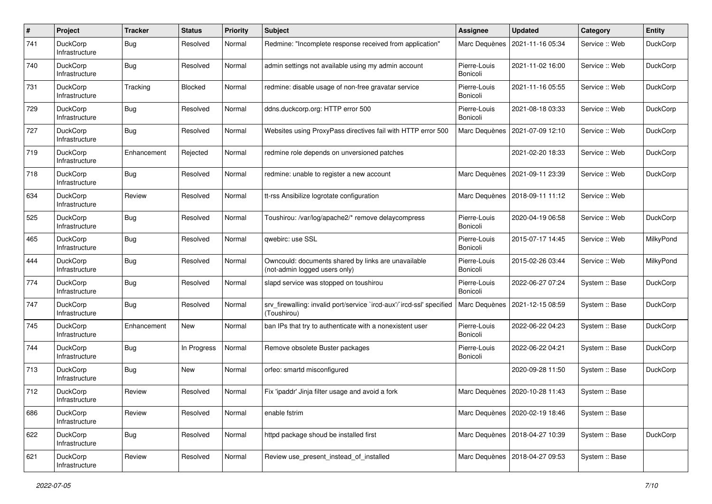| #   | Project                           | <b>Tracker</b> | <b>Status</b> | <b>Priority</b> | Subject                                                                              | <b>Assignee</b>          | <b>Updated</b>   | Category       | <b>Entity</b>   |
|-----|-----------------------------------|----------------|---------------|-----------------|--------------------------------------------------------------------------------------|--------------------------|------------------|----------------|-----------------|
| 741 | <b>DuckCorp</b><br>Infrastructure | Bug            | Resolved      | Normal          | Redmine: "Incomplete response received from application"                             | Marc Dequènes            | 2021-11-16 05:34 | Service :: Web | <b>DuckCorp</b> |
| 740 | <b>DuckCorp</b><br>Infrastructure | Bug            | Resolved      | Normal          | admin settings not available using my admin account                                  | Pierre-Louis<br>Bonicoli | 2021-11-02 16:00 | Service :: Web | <b>DuckCorp</b> |
| 731 | <b>DuckCorp</b><br>Infrastructure | Tracking       | Blocked       | Normal          | redmine: disable usage of non-free gravatar service                                  | Pierre-Louis<br>Bonicoli | 2021-11-16 05:55 | Service :: Web | <b>DuckCorp</b> |
| 729 | <b>DuckCorp</b><br>Infrastructure | Bug            | Resolved      | Normal          | ddns.duckcorp.org: HTTP error 500                                                    | Pierre-Louis<br>Bonicoli | 2021-08-18 03:33 | Service :: Web | DuckCorp        |
| 727 | <b>DuckCorp</b><br>Infrastructure | Bug            | Resolved      | Normal          | Websites using ProxyPass directives fail with HTTP error 500                         | Marc Dequènes            | 2021-07-09 12:10 | Service :: Web | DuckCorp        |
| 719 | <b>DuckCorp</b><br>Infrastructure | Enhancement    | Rejected      | Normal          | redmine role depends on unversioned patches                                          |                          | 2021-02-20 18:33 | Service :: Web | <b>DuckCorp</b> |
| 718 | <b>DuckCorp</b><br>Infrastructure | <b>Bug</b>     | Resolved      | Normal          | redmine: unable to register a new account                                            | Marc Dequènes            | 2021-09-11 23:39 | Service: Web   | <b>DuckCorp</b> |
| 634 | <b>DuckCorp</b><br>Infrastructure | Review         | Resolved      | Normal          | tt-rss Ansibilize logrotate configuration                                            | Marc Dequènes            | 2018-09-11 11:12 | Service :: Web |                 |
| 525 | <b>DuckCorp</b><br>Infrastructure | Bug            | Resolved      | Normal          | Toushirou: /var/log/apache2/* remove delaycompress                                   | Pierre-Louis<br>Bonicoli | 2020-04-19 06:58 | Service :: Web | <b>DuckCorp</b> |
| 465 | <b>DuckCorp</b><br>Infrastructure | Bug            | Resolved      | Normal          | qwebirc: use SSL                                                                     | Pierre-Louis<br>Bonicoli | 2015-07-17 14:45 | Service: Web   | MilkyPond       |
| 444 | <b>DuckCorp</b><br>Infrastructure | Bug            | Resolved      | Normal          | Owncould: documents shared by links are unavailable<br>(not-admin logged users only) | Pierre-Louis<br>Bonicoli | 2015-02-26 03:44 | Service :: Web | MilkyPond       |
| 774 | <b>DuckCorp</b><br>Infrastructure | Bug            | Resolved      | Normal          | slapd service was stopped on toushirou                                               | Pierre-Louis<br>Bonicoli | 2022-06-27 07:24 | System :: Base | <b>DuckCorp</b> |
| 747 | <b>DuckCorp</b><br>Infrastructure | <b>Bug</b>     | Resolved      | Normal          | srv_firewalling: invalid port/service `ircd-aux'/`ircd-ssl' specified<br>(Toushirou) | Marc Dequènes            | 2021-12-15 08:59 | System :: Base | <b>DuckCorp</b> |
| 745 | <b>DuckCorp</b><br>Infrastructure | Enhancement    | New           | Normal          | ban IPs that try to authenticate with a nonexistent user                             | Pierre-Louis<br>Bonicoli | 2022-06-22 04:23 | System :: Base | <b>DuckCorp</b> |
| 744 | <b>DuckCorp</b><br>Infrastructure | <b>Bug</b>     | In Progress   | Normal          | Remove obsolete Buster packages                                                      | Pierre-Louis<br>Bonicoli | 2022-06-22 04:21 | System :: Base | <b>DuckCorp</b> |
| 713 | <b>DuckCorp</b><br>Infrastructure | Bug            | New           | Normal          | orfeo: smartd misconfigured                                                          |                          | 2020-09-28 11:50 | System :: Base | <b>DuckCorp</b> |
| 712 | <b>DuckCorp</b><br>Infrastructure | Review         | Resolved      | Normal          | Fix 'ipaddr' Jinja filter usage and avoid a fork                                     | Marc Dequènes            | 2020-10-28 11:43 | System :: Base |                 |
| 686 | DuckCorp<br>Infrastructure        | Review         | Resolved      | Normal          | enable fstrim                                                                        | Marc Dequènes            | 2020-02-19 18:46 | System :: Base |                 |
| 622 | <b>DuckCorp</b><br>Infrastructure | <b>Bug</b>     | Resolved      | Normal          | httpd package shoud be installed first                                               | Marc Dequènes            | 2018-04-27 10:39 | System :: Base | <b>DuckCorp</b> |
| 621 | <b>DuckCorp</b><br>Infrastructure | Review         | Resolved      | Normal          | Review use present instead of installed                                              | Marc Dequènes            | 2018-04-27 09:53 | System :: Base |                 |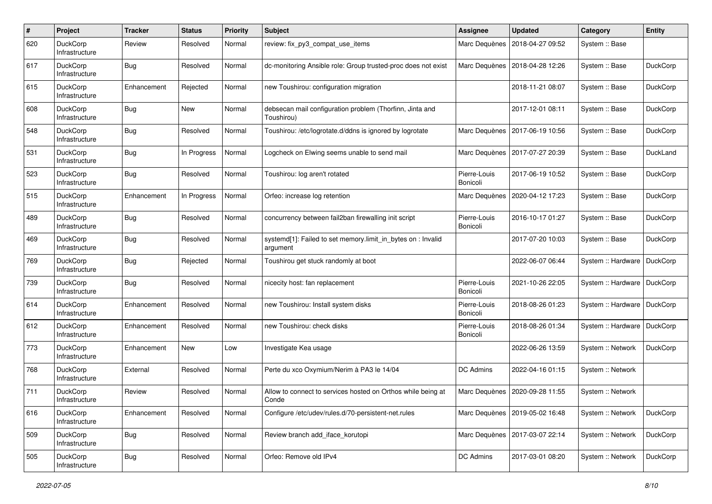| $\#$ | Project                           | <b>Tracker</b> | <b>Status</b> | <b>Priority</b> | <b>Subject</b>                                                           | <b>Assignee</b>          | <b>Updated</b>                   | Category           | <b>Entity</b>   |
|------|-----------------------------------|----------------|---------------|-----------------|--------------------------------------------------------------------------|--------------------------|----------------------------------|--------------------|-----------------|
| 620  | DuckCorp<br>Infrastructure        | Review         | Resolved      | Normal          | review: fix py3 compat use items                                         | Marc Dequènes            | 2018-04-27 09:52                 | System :: Base     |                 |
| 617  | <b>DuckCorp</b><br>Infrastructure | Bug            | Resolved      | Normal          | dc-monitoring Ansible role: Group trusted-proc does not exist            | Marc Dequènes            | 2018-04-28 12:26                 | System :: Base     | <b>DuckCorp</b> |
| 615  | DuckCorp<br>Infrastructure        | Enhancement    | Rejected      | Normal          | new Toushirou: configuration migration                                   |                          | 2018-11-21 08:07                 | System :: Base     | <b>DuckCorp</b> |
| 608  | <b>DuckCorp</b><br>Infrastructure | Bug            | New           | Normal          | debsecan mail configuration problem (Thorfinn, Jinta and<br>Toushirou)   |                          | 2017-12-01 08:11                 | System :: Base     | DuckCorp        |
| 548  | DuckCorp<br>Infrastructure        | Bug            | Resolved      | Normal          | Toushirou: /etc/logrotate.d/ddns is ignored by logrotate                 | Marc Dequènes            | 2017-06-19 10:56                 | System :: Base     | DuckCorp        |
| 531  | DuckCorp<br>Infrastructure        | Bug            | In Progress   | Normal          | Logcheck on Elwing seems unable to send mail                             | Marc Dequènes            | 2017-07-27 20:39                 | System :: Base     | DuckLand        |
| 523  | DuckCorp<br>Infrastructure        | Bug            | Resolved      | Normal          | Toushirou: log aren't rotated                                            | Pierre-Louis<br>Bonicoli | 2017-06-19 10:52                 | System :: Base     | <b>DuckCorp</b> |
| 515  | DuckCorp<br>Infrastructure        | Enhancement    | In Progress   | Normal          | Orfeo: increase log retention                                            | Marc Dequènes            | 2020-04-12 17:23                 | System :: Base     | <b>DuckCorp</b> |
| 489  | <b>DuckCorp</b><br>Infrastructure | Bug            | Resolved      | Normal          | concurrency between fail2ban firewalling init script                     | Pierre-Louis<br>Bonicoli | 2016-10-17 01:27                 | System :: Base     | <b>DuckCorp</b> |
| 469  | DuckCorp<br>Infrastructure        | <b>Bug</b>     | Resolved      | Normal          | systemd[1]: Failed to set memory.limit_in_bytes on : Invalid<br>argument |                          | 2017-07-20 10:03                 | System :: Base     | <b>DuckCorp</b> |
| 769  | <b>DuckCorp</b><br>Infrastructure | Bug            | Rejected      | Normal          | Toushirou get stuck randomly at boot                                     |                          | 2022-06-07 06:44                 | System :: Hardware | <b>DuckCorp</b> |
| 739  | DuckCorp<br>Infrastructure        | <b>Bug</b>     | Resolved      | Normal          | nicecity host: fan replacement                                           | Pierre-Louis<br>Bonicoli | 2021-10-26 22:05                 | System :: Hardware | <b>DuckCorp</b> |
| 614  | DuckCorp<br>Infrastructure        | Enhancement    | Resolved      | Normal          | new Toushirou: Install system disks                                      | Pierre-Louis<br>Bonicoli | 2018-08-26 01:23                 | System :: Hardware | DuckCorp        |
| 612  | <b>DuckCorp</b><br>Infrastructure | Enhancement    | Resolved      | Normal          | new Toushirou: check disks                                               | Pierre-Louis<br>Bonicoli | 2018-08-26 01:34                 | System :: Hardware | DuckCorp        |
| 773  | DuckCorp<br>Infrastructure        | Enhancement    | New           | Low             | Investigate Kea usage                                                    |                          | 2022-06-26 13:59                 | System :: Network  | DuckCorp        |
| 768  | DuckCorp<br>Infrastructure        | External       | Resolved      | Normal          | Perte du xco Oxymium/Nerim à PA3 le 14/04                                | DC Admins                | 2022-04-16 01:15                 | System :: Network  |                 |
| 711  | DuckCorp<br>Infrastructure        | Review         | Resolved      | Normal          | Allow to connect to services hosted on Orthos while being at<br>Conde    | Marc Dequènes            | 2020-09-28 11:55                 | System :: Network  |                 |
| 616  | <b>DuckCorp</b><br>Infrastructure | Enhancement    | Resolved      | Normal          | Configure /etc/udev/rules.d/70-persistent-net.rules                      |                          | Marc Dequènes   2019-05-02 16:48 | System :: Network  | <b>DuckCorp</b> |
| 509  | DuckCorp<br>Infrastructure        | <b>Bug</b>     | Resolved      | Normal          | Review branch add iface korutopi                                         | Marc Dequènes            | 2017-03-07 22:14                 | System :: Network  | DuckCorp        |
| 505  | DuckCorp<br>Infrastructure        | <b>Bug</b>     | Resolved      | Normal          | Orfeo: Remove old IPv4                                                   | DC Admins                | 2017-03-01 08:20                 | System :: Network  | DuckCorp        |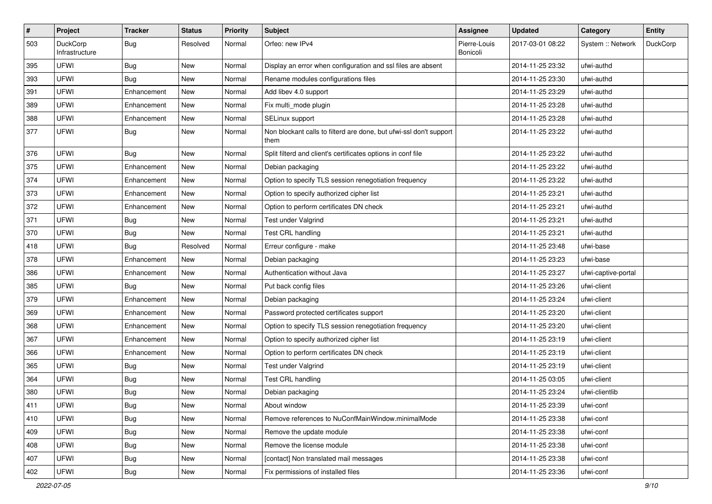| $\#$ | Project                    | <b>Tracker</b> | <b>Status</b> | <b>Priority</b> | Subject                                                                    | Assignee                 | <b>Updated</b>   | Category            | Entity          |
|------|----------------------------|----------------|---------------|-----------------|----------------------------------------------------------------------------|--------------------------|------------------|---------------------|-----------------|
| 503  | DuckCorp<br>Infrastructure | Bug            | Resolved      | Normal          | Orfeo: new IPv4                                                            | Pierre-Louis<br>Bonicoli | 2017-03-01 08:22 | System :: Network   | <b>DuckCorp</b> |
| 395  | UFWI                       | Bug            | New           | Normal          | Display an error when configuration and ssl files are absent               |                          | 2014-11-25 23:32 | ufwi-authd          |                 |
| 393  | UFWI                       | <b>Bug</b>     | <b>New</b>    | Normal          | Rename modules configurations files                                        |                          | 2014-11-25 23:30 | ufwi-authd          |                 |
| 391  | <b>UFWI</b>                | Enhancement    | New           | Normal          | Add libev 4.0 support                                                      |                          | 2014-11-25 23:29 | ufwi-authd          |                 |
| 389  | <b>UFWI</b>                | Enhancement    | New           | Normal          | Fix multi_mode plugin                                                      |                          | 2014-11-25 23:28 | ufwi-authd          |                 |
| 388  | <b>UFWI</b>                | Enhancement    | <b>New</b>    | Normal          | SELinux support                                                            |                          | 2014-11-25 23:28 | ufwi-authd          |                 |
| 377  | <b>UFWI</b>                | <b>Bug</b>     | New           | Normal          | Non blockant calls to filterd are done, but ufwi-ssl don't support<br>them |                          | 2014-11-25 23:22 | ufwi-authd          |                 |
| 376  | UFWI                       | <b>Bug</b>     | <b>New</b>    | Normal          | Split filterd and client's certificates options in conf file               |                          | 2014-11-25 23:22 | ufwi-authd          |                 |
| 375  | <b>UFWI</b>                | Enhancement    | New           | Normal          | Debian packaging                                                           |                          | 2014-11-25 23:22 | ufwi-authd          |                 |
| 374  | <b>UFWI</b>                | Enhancement    | New           | Normal          | Option to specify TLS session renegotiation frequency                      |                          | 2014-11-25 23:22 | ufwi-authd          |                 |
| 373  | UFWI                       | Enhancement    | New           | Normal          | Option to specify authorized cipher list                                   |                          | 2014-11-25 23:21 | ufwi-authd          |                 |
| 372  | <b>UFWI</b>                | Enhancement    | New           | Normal          | Option to perform certificates DN check                                    |                          | 2014-11-25 23:21 | ufwi-authd          |                 |
| 371  | <b>UFWI</b>                | Bug            | <b>New</b>    | Normal          | Test under Valgrind                                                        |                          | 2014-11-25 23:21 | ufwi-authd          |                 |
| 370  | <b>UFWI</b>                | Bug            | New           | Normal          | Test CRL handling                                                          |                          | 2014-11-25 23:21 | ufwi-authd          |                 |
| 418  | <b>UFWI</b>                | Bug            | Resolved      | Normal          | Erreur configure - make                                                    |                          | 2014-11-25 23:48 | ufwi-base           |                 |
| 378  | <b>UFWI</b>                | Enhancement    | <b>New</b>    | Normal          | Debian packaging                                                           |                          | 2014-11-25 23:23 | ufwi-base           |                 |
| 386  | <b>UFWI</b>                | Enhancement    | New           | Normal          | Authentication without Java                                                |                          | 2014-11-25 23:27 | ufwi-captive-portal |                 |
| 385  | <b>UFWI</b>                | Bug            | New           | Normal          | Put back config files                                                      |                          | 2014-11-25 23:26 | ufwi-client         |                 |
| 379  | <b>UFWI</b>                | Enhancement    | New           | Normal          | Debian packaging                                                           |                          | 2014-11-25 23:24 | ufwi-client         |                 |
| 369  | <b>UFWI</b>                | Enhancement    | New           | Normal          | Password protected certificates support                                    |                          | 2014-11-25 23:20 | ufwi-client         |                 |
| 368  | UFWI                       | Enhancement    | <b>New</b>    | Normal          | Option to specify TLS session renegotiation frequency                      |                          | 2014-11-25 23:20 | ufwi-client         |                 |
| 367  | <b>UFWI</b>                | Enhancement    | New           | Normal          | Option to specify authorized cipher list                                   |                          | 2014-11-25 23:19 | ufwi-client         |                 |
| 366  | <b>UFWI</b>                | Enhancement    | New           | Normal          | Option to perform certificates DN check                                    |                          | 2014-11-25 23:19 | ufwi-client         |                 |
| 365  | <b>UFWI</b>                | <b>Bug</b>     | New           | Normal          | Test under Valgrind                                                        |                          | 2014-11-25 23:19 | ufwi-client         |                 |
| 364  | <b>UFWI</b>                | Bug            | New           | Normal          | Test CRL handling                                                          |                          | 2014-11-25 03:05 | ufwi-client         |                 |
| 380  | UFWI                       | Bug            | <b>New</b>    | Normal          | Debian packaging                                                           |                          | 2014-11-25 23:24 | ufwi-clientlib      |                 |
| 411  | UFWI                       | <b>Bug</b>     | New           | Normal          | About window                                                               |                          | 2014-11-25 23:39 | ufwi-conf           |                 |
| 410  | UFWI                       | <b>Bug</b>     | New           | Normal          | Remove references to NuConfMainWindow.minimalMode                          |                          | 2014-11-25 23:38 | ufwi-conf           |                 |
| 409  | <b>UFWI</b>                | <b>Bug</b>     | New           | Normal          | Remove the update module                                                   |                          | 2014-11-25 23:38 | ufwi-conf           |                 |
| 408  | UFWI                       | <b>Bug</b>     | New           | Normal          | Remove the license module                                                  |                          | 2014-11-25 23:38 | ufwi-conf           |                 |
| 407  | <b>UFWI</b>                | Bug            | New           | Normal          | [contact] Non translated mail messages                                     |                          | 2014-11-25 23:38 | ufwi-conf           |                 |
| 402  | UFWI                       | <b>Bug</b>     | New           | Normal          | Fix permissions of installed files                                         |                          | 2014-11-25 23:36 | ufwi-conf           |                 |